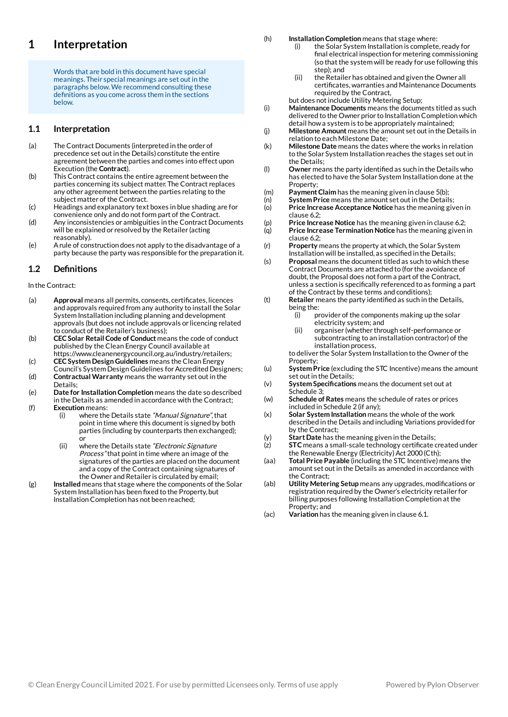### **Interpretation 1**

Words that are bold in this document have special meanings. Their special meanings are set out in the paragraphs below.We recommend consulting these definitions as you come across them in the sections below.

#### **Interpretation 1.1**

- The Contract Documents (interpreted in the order of precedence set outin the Details) constitute the entire agreement between the parties and comes into effect upon Execution (the **Contract**). (a)
- This Contract contains the entire agreement between the parties concerning its subject matter. The Contract replaces any other agreement between the parties relating to the subject matter of the Contract. (b)
- Headings and explanatory text boxes in blue shading are for convenience only and do not form part of the Contract. (c)
- Any inconsistencies or ambiguities in the Contract Documents will be explained or resolved by the Retailer (acting reasonably). (d)
- Arule of construction does not apply to the disadvantage of a party because the party was responsible for the preparation it. (e)

#### **Definitions 1.2**

In the Contract:

- Approval means all permits, consents, certificates, licences and approvals required from any authority to install the Solar System Installation including planning and development approvals (but does not include approvals or licencing related to conduct of the Retailer's business); (a)
- **CECSolar Retail Code of Conduct** means the code of conduct published by the Clean Energy Council available at https://www.cleanenergycouncil.org.au/industry/retailers; **CECSystem Design Guidelines** means the Clean Energy (b) (c)
- Council's System Design Guidelines for Accredited Designers; **Contractual Warranty** means the warranty set out in the (d)
- Details; **Date for Installation Completion** means the date so described in the Details as amended in accordance with the Contract; (e)
- **Execution** means: (f)
	- where the Details state "Manual Signature", that point in time where this document is signed by both parties (including by counterparts then exchanged); or (i)
	- where the Details state "Electronic Signature Process" that point in time where an image of the signatures of the parties are placed on the document and a copy of the Contract containing signatures of the Owner and Retailer is circulated by email; (ii)
- **Installed** means that stage where the components of the Solar System Installation has been fixed to the Property, but Installation Completion has not been reached; (g)
- **InstallationCompletion** means that stage where: (h)
	- the Solar System Installation is complete, ready for final electrical inspection for metering commissioning (so that the system will be ready for use following this step); and (i)
	- the Retailer has obtained and given the Owner all certificates, warranties and Maintenance Documents required by the Contract, (ii)

but does not include Utility Metering Setup;

- **Maintenance Documents** means the documents titled as such delivered to the Owner prior to Installation Completion which detail howa system is to be appropriately maintained; (i)
- **Milestone Amount** means the amount set outin the Details in relation to each Milestone Date; (j)
- **Milestone Date** means the dates where the works in relation to the Solar System Installation reaches the stages set out in the Details;  $(k)$
- Owner means the party identified as such in the Details who has elected to have the Solar System Installation done at the Property: (l)
- **PaymentClaim** has the meaning given in clause 5(b); (m)
- **System Price** means the amount set out in the Details; (n)
- **Price Increase Acceptance Notice** has the meaning given in clause 6.2; (o)
- **Price Increase Notice** has the meaning given in clause 6.2;  $(p)$
- **Price Increase Termination Notice** has the meaning given in clause 6.2; (q)
- **Property** means the property at which, the Solar System Installation will be installed, as specified in the Details; (r)
- **Proposal** means the document titled as such to which these Contract Documents are attached to (for the avoidance of doubt, the Proposal does not form a part of the Contract, unless a section is specifically referenced to as forming a part of the Contract by these terms and conditions); (s)
- Retailer means the party identified as such in the Details, being the: (t)
	- provider of the components making up the solar electricity system; and (i)
	- organiser (whether through self-performance or subcontracting to an installation contractor) of the installation process, (ii)
	- to deliver the Solar System Installation to the Owner of the Property;
- **System Price** (excluding the STC Incentive) means the amount set out in the Details; (u)
- **System Specifications** means the document set out at Schedule 3; (v)
- **Schedule of Rates** means the schedule of rates or prices included in Schedule 2 (if any); (w)
- **Solar System Installation** means the whole of the work described in the Details and including Variations provided for by the Contract; (x)
- **Start Date** has the meaning given in the Details; (y)
- **STC** means a small-scale technology certificate created under the Renewable Energy (Electricity) Act 2000 (Cth);  $(z)$
- **Total Price Payable** (including the STC Incentive) means the amount set out in the Details as amended in accordance with the Contract; (aa)
- **Utility Metering Setup** means any upgrades, modifications or registration required by the Owner's electricity retailer for billing purposes following Installation Completion at the Property; and (ab)
- **Variation** has the meaning given in clause 6.1. (ac)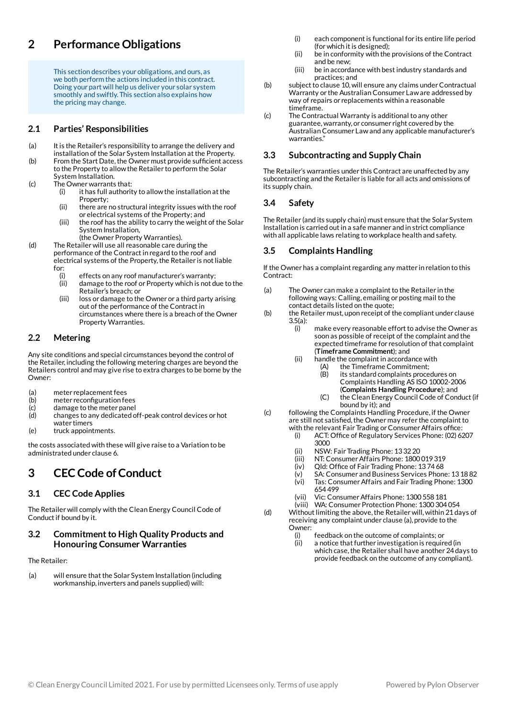## **Performance Obligations 2**

This section describes your obligations, and ours, as we both perform the actions included in this contract. Doing your part will help us deliver your solar system smoothly and swiftly. This section also explains how the pricing may change.

#### **Parties' Responsibilities 2.1**

- It is the Retailer's responsibility to arrange the delivery and installation of the Solar System Installation at the Property. (a)
- From the Start Date, the Owner must provide sufficient access to the Property to allowthe Retailer to perform the Solar System Installation. (b)
- The Owner warrants that: (c)
	- it has full authority to allow the installation at the Property; (i)
	- there are no structural integrity issues with the roof or electrical systems of the Property; and (ii)
	- the roof has the ability to carry the weight of the Solar System Installation, (iii)
		- (the Owner Property Warranties).
- The Retailer will use all reasonable care during the performance of the Contract in regard to the roof and electrical systems of the Property, the Retailer is not liable for: (d)
	- effects on any roof manufacturer's warranty; (i)
	- damage to the roof or Property which is not due to the Retailer's breach; or (ii)
	- loss or damage to the Owner or a third party arising out of the performance of the Contract in circumstances where there is a breach of the Owner Property Warranties. (iii)

#### **Metering 2.2**

Any site conditions and special circumstances beyond the control of the Retailer, including the following metering charges are beyond the Retailers control and may give rise to extra charges to be borne by the Owner:

- meter replacement fees (a)
- meter reconfiguration fees  $(b)$
- damage to the meter panel (c) (d)
	- changes to any dedicated off-peak control devices or hot
- water timers truck appointments. (e)
- 

the costs associated with these will give raise to a Variation to be administrated under clause 6.

### **CECCode ofConduct 3**

#### **CEC Code Applies 3.1**

The Retailerwill comply with the Clean Energy Council Code of Conduct if bound by it.

### **Commitment to High Quality Products and Honouring Consumer Warranties 3.2**

# The Retailer:

will ensure that the Solar System Installation (including workmanship, inverters and panels supplied) will: (a)

- each component is functional for its entire life period (for which it is designed); (i)
- be in conformity with the provisions of the Contract and be new; (ii)
- be in accordance with bestindustry standards and practices; and (iii)
- subject to clause 10, will ensure any claims under Contractual Warranty or the Australian Consumer Laware addressed by way of repairs or replacements within a reasonable timeframe. (b)
- The Contractual Warranty is additional to any other guarantee,warranty, or consumer right covered by the Australian Consumer Lawand any applicable manufacturer's warranties."  $(c)$

#### **Subcontracting and Supply Chain 3.3**

The Retailer's warranties under this Contract are unaffected by any subcontracting and the Retailer is liable for all acts and omissions of its supply chain.

#### **Safety 3.4**

The Retailer (and its supply chain) must ensure that the Solar System Installation is carried outin a safe manner and in strict compliance with all applicable laws relating to workplace health and safety.

#### **Complaints Handling 3.5**

If the Owner has a complaint regarding any matter in relation to this Contract:

- The Owner can make a complaint to the Retailer in the following ways: Calling, emailing or posting mail to the contact details listed on the quote; (a)
- the Retailer must, upon receipt of the compliant under clause 3.5(a): (b)
	- make every reasonable effort to advise the Owner as soon as possible of receipt of the complaint and the expected timeframe for resolution of that complaint (**Timeframe Commitment**); and (i)
		- handle the complaint in accordance with (ii)
			- the Timeframe Commitment; (A) (B)
				- its standard complaints procedures on Complaints Handling AS ISO 10002-2006 (**Complaints Handling Procedure**); and
				- the Clean Energy Council Code of Conduct (if bound by it); and  $(C)$

following the Complaints Handling Procedure, if the Owner are still not satisfied, the Owner may refer the complaint to with the relevant Fair Trading or Consumer Affairs office: (c)

- ACT: Office of Regulatory Services Phone: (02) 6207 3000 (i)
- NSW: FairTrading Phone: 13 32 20 (ii)
- NT: ConsumerAffairs Phone: 1800 019 319 (iii)
- Qld: Office of Fair Trading Phone: 13 74 68 (iv)
- SA: Consumer and Business Services Phone: 13 18 82 (v)
- Tas: Consumer Affairs and Fair Trading Phone: 1300 654 499 (vi)
- Vic: ConsumerAffairs Phone: 1300 558 181 (vii)
- (viii) WA: Consumer Protection Phone: 1300 304 054
- Without limiting the above, the Retailer will, within 21 days of receiving any complaint under clause (a), provide to the Owner: (d)
	- feedback on the outcome of complaints; or (i)
	- a notice that further investigation is required (in which case, the Retailer shall have another 24 days to provide feedback on the outcome of any compliant). (ii)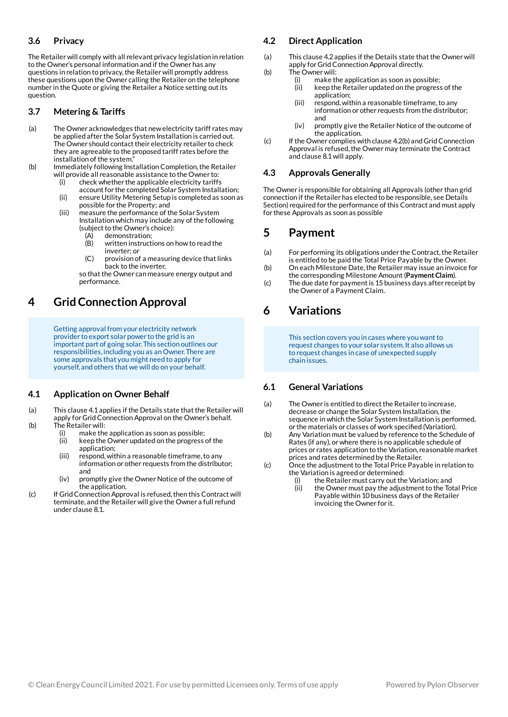#### **Privacy 3.6**

The Retailerwill comply with all relevant privacy legislation in relation to the Owner's personal information and if the Owner has any questions in relation to privacy,the Retailerwill promptly address these questions upon the Owner calling the Retailer on the telephone number in the Quote or giving the Retailer a Notice setting outits question.

#### **Metering & Tariffs 3.7**

- The Owner acknowledges that newelectricity tariff rates may be applied after the Solar System Installation is carried out. The Owner should contact their electricity retailer to check they are agreeable to the proposed tariff rates before the installation of the system." (a)
- Immediately following Installation Completion,the Retailer will provide all reasonable assistance to the Owner to: (b) (i)
	- check whether the applicable electricity tariffs account for the completed Solar System Installation;
	- ensure Utility Metering Setup is completed as soon as possible for the Property; and (ii)
	- measure the performance of the Solar System Installation which may include any of the following (subject to the Owner's choice): (iii) (A)
		- demonstration; written instructions on howto read the  $(B)$
		- inverter; or provision of a measuring device that links back to the inverter, (C)

so that the Owner can measure energy output and performance.

### **GridConnection Approval 4**

Getting approval from your electricity network provider to export solar power to the grid is an important part of going solar. This section outlines our responsibilities, including you as an Owner. There are some approvals that you might need to apply for yourself, and others that we will do on your behalf.

#### **Application on Owner Behalf 4.1**

- This clause 4.1 applies if the Details state that the Retailer will apply for Grid Connection Approval on the Owner's behalf. The Retailerwill: (a)
- (b)
- make the application as soon as possible; (i)
- keep the Owner updated on the progress of the application; (ii)
- respond, within a reasonable timeframe, to any information or other requests from the distributor; and (iii)
- promptly give the Owner Notice of the outcome of the application. (iv)
- If Grid Connection Approval is refused, then this Contract will terminate, and the Retailerwill give the Owner a full refund under clause 8.1.  $(c)$

#### **Direct Application 4.2**

- This clause 4.2 applies if the Details state that the Owner will apply for Grid Connection Approval directly. (a)
- The Ownerwill: (b)
	- make the application as soon as possible; (i)
	- keep the Retailer updated on the progress of the application; (ii)
	- respond, within a reasonable timeframe, to any information or other requests from the distributor; and (iii)
	- promptly give the Retailer Notice of the outcome of the application. (iv)
- If the Owner complies with clause 4.2(b) and GridConnection Approval is refused, the Owner may terminate the Contract and clause 8.1will apply. (c)

#### **Approvals Generally 4.3**

The Owner is responsible for obtaining all Approvals (other than grid connection if the Retailer has elected to be responsible, see Details Section) required for the performance of this Contract and must apply for these Approvals as soon as possible

### **Payment 5**

- For performing its obligations under the Contract, the Retailer is entitled to be paid the Total Price Payable by the Owner. (a)
- On each Milestone Date, the Retailer may issue an invoice for the corresponding Milestone Amount(**PaymentClaim**). (b)
- The due date for payment is 15 business days after receipt by the Owner of a Payment Claim. (c)

# **Variations 6**

This section covers you in cases where you want to request changes to your solar system. It also allows us to request changes in case of unexpected supply chain issues.

#### **General Variations 6.1**

- The Owner is entitled to direct the Retailer to increase, decrease or change the Solar System Installation, the sequence in which the Solar System Installation is performed, or the materials or classes of work specified (Variation). (a)
- Any Variation must be valued by reference to the Schedule of Rates (if any), orwhere there is no applicable schedule of prices or rates application to the Variation, reasonable market prices and rates determined by the Retailer. (b)
- Once the adjustment to the Total Price Payable in relation to the Variation is agreed or determined: (c)
	- the Retailer must carry out the Variation; and (i)
	- the Owner must pay the adjustment to the Total Price Payable within 10 business days of the Retailer invoicing the Owner for it. (ii)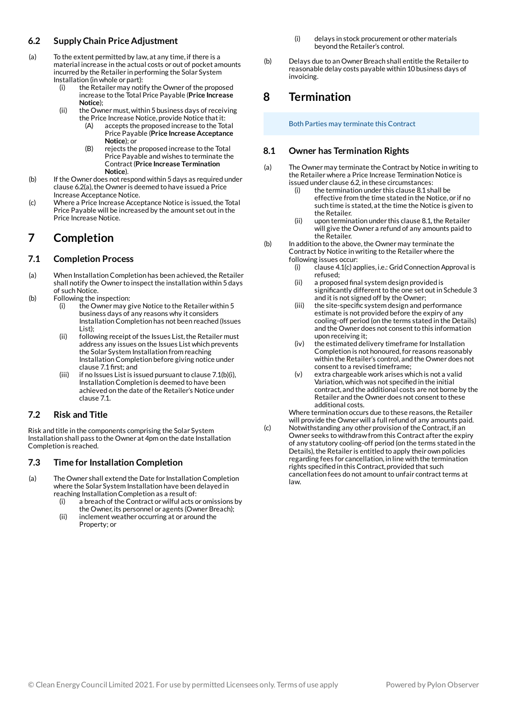#### **Supply Chain Price Adjustment 6.2**

- To the extent permitted by law, at any time, if there is a material increase in the actual costs or out of pocket amounts incurred by the Retailer in performing the Solar System Installation (in whole or part): (a)
	- the Retailer may notify the Owner of the proposed increase to the Total Price Payable (**Price Increase Notice**); (i)
	- the Owner must,within 5 business days of receiving the Price Increase Notice, provide Notice that it: (ii)
		- accepts the proposed increase to the Total Price Payable (**Price Increase Acceptance Notice**); or (A)
		- rejects the proposed increase to the Total Price Payable and wishes to terminate the Contract(**Price Increase Termination Notice**).  $(R)$
- If the Owner does not respond within 5 days as required under clause 6.2(a), the Owner is deemed to have issued a Price Increase Acceptance Notice. (b)
- Where a Price Increase Acceptance Notice is issued, the Total Price Payable will be increased by the amount set out in the Price Increase Notice.  $(c)$

### **Completion 7**

#### **Completion Process 7.1**

- When Installation Completion has been achieved, the Retailer shall notify the Owner to inspect the installation within 5 days of such Notice.  $(a)$
- Following the inspection: (b)
	- the Owner may give Notice to the Retailerwithin 5 business days of any reasons why it considers Installation Completion has not been reached (Issues List); (i)
	- following receipt of the Issues List, the Retailer must address any issues on the Issues List which prevents the Solar System Installation from reaching Installation Completion before giving notice under clause 7.1 first; and (ii)
	- if no Issues List is issued pursuant to clause  $7.1(b)(i)$ , Installation Completion is deemed to have been achieved on the date of the Retailer's Notice under clause 7.1. (iii)

#### **Risk and Title 7.2**

Risk and title in the components comprising the Solar System Installation shall pass to the Owner at 4pm on the date Installation Completion is reached.

#### **Time for Installation Completion 7.3**

- The Owner shall extend the Date for Installation Completion where the Solar System Installation have been delayed in reaching Installation Completion as a result of: (a)
	- a breach of the Contract or wilful acts or omissions by the Owner, its personnel or agents (Owner Breach); (i)
	- inclement weather occurring at or around the Property; or (ii)
- delays in stock procurement or other materials beyond the Retailer's control. (i)
- Delays due to an Owner Breach shall entitle the Retailer to reasonable delay costs payable within 10 business days of invoicing. (b)

### **Termination 8**

Both Parties may terminate this Contract

#### **Owner has Termination Rights 8.1**

- The Owner may terminate the Contract by Notice in writing to the Retailerwhere a Price Increase Termination Notice is issued under clause 6.2, in these circumstances: (a)
	- the termination under this clause 8.1 shall be effective from the time stated in the Notice, or if no such time is stated, at the time the Notice is given to the Retailer. (i)
	- upon termination under this clause 8.1, the Retailer will give the Owner a refund of any amounts paid to the Retailer. (ii)
- In addition to the above, the Owner may terminate the Contract by Notice in writing to the Retailerwhere the following issues occur: (b)
	- clause 4.1(c) applies, i.e.: GridConnection Approval is refused; (i)
	- a proposed final system design provided is significantly different to the one set out in Schedule 3 and it is not signed off by the Owner; (ii)
	- the site-specific system design and performance estimate is not provided before the expiry of any cooling-off period (on the terms stated in the Details) and the Owner does not consent to this information upon receiving it; (iii)
	- the estimated delivery timeframe for Installation Completion is not honoured, for reasons reasonably within the Retailer's control, and the Owner does not consent to a revised timeframe: (iv)
	- extra chargeable work arises which is not a valid Variation, which was not specified in the initial contract, and the additional costs are not borne by the Retailer and the Owner does not consent to these additional costs. (v)

Where termination occurs due to these reasons, the Retailer will provide the Ownerwill a full refund of any amounts paid.

Notwithstanding any other provision of the Contract, if an Owner seeks to withdrawfrom this Contract after the expiry of any statutory cooling-off period (on the terms stated in the Details), the Retailer is entitled to apply their own policies regarding fees for cancellation, in line with the termination rights specified in this Contract, provided that such cancellation fees do not amount to unfair contract terms at law. (c)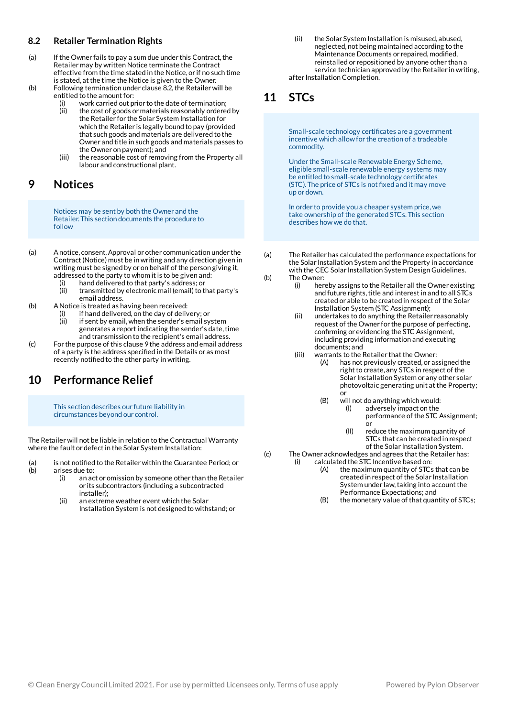#### **Retailer Termination Rights 8.2**

- If the Owner fails to pay a sum due under this Contract, the Retailer may by written Notice terminate the Contract effective from the time stated in the Notice, or if no such time is stated, at the time the Notice is given to the Owner. (a)
- Following termination under clause 8.2,the Retailerwill be entitled to the amount for: (b)
	- work carried out prior to the date of termination; (i) (ii)
		- the cost of goods or materials reasonably ordered by the Retailer for the Solar System Installation for which the Retailer is legally bound to pay (provided that such goods and materials are delivered to the Owner and title in such goods and materials passes to the Owner on payment); and
	- the reasonable cost of removing from the Property all labour and constructional plant. (iii)

### **Notices 9**

Notices may be sent by both the Owner and the Retailer. This section documents the procedure to follow

- Anotice, consent,Approval or other communication under the Contract(Notice) must be in writing and any direction given in writing must be signed by or on behalf of the person giving it, addressed to the party to whom it is to be given and: (a)
	- hand delivered to that party's address; or (i)
	- transmitted by electronic mail (email) to that party's email address. (ii)
- ANotice is treated as having been received: (b)
	- if hand delivered, on the day of delivery; or (i)
	- if sent by email,when the sender's email system generates a report indicating the sender's date, time and transmission to the recipient's email address. (ii)
- For the purpose of this clause 9 the address and email address of a party is the address specified in the Details or as most recently notified to the other party in writing. (c)

# **Performance Relief 10**

This section describes our future liability in circumstances beyond our control.

The Retailerwill not be liable in relation to the Contractual Warranty where the fault or defect in the Solar System Installation:

- is not notified to the Retailer within the Guarantee Period; or arises due to: (a) (b)
	- an act or omission by someone other than the Retailer or its subcontractors (including a subcontracted installer); (i)
	- an extreme weather event which the Solar Installation System is not designed to withstand; or (ii)

the Solar System Installation is misused, abused, neglected, not being maintained according to the Maintenance Documents or repaired, modified, reinstalled or repositioned by anyone other than a service technician approved by the Retailer in writing, after Installation Completion. (ii)

# **STCs 11**

Small-scale technology certificates are a government incentive which allowfor the creation of a tradeable commodity.

Under the Small-scale Renewable Energy Scheme, eligible small-scale renewable energy systems may be entitled to small-scale technology certificates (STC). The price of STCs is not fixed and it may move up or down.

In order to provide you a cheaper system price,we take ownership of the generated STCs. This section describes howwe do that.

- The Retailer has calculated the performance expectations for the Solar Installation System and the Property in accordance with the CEC Solar Installation System Design Guidelines. The Owner: (a)  $(h)$ 
	- hereby assigns to the Retailer all the Owner existing and future rights, title and interest in and to all STCs created or able to be created in respect of the Solar Installation System (STC Assignment); (i)
	- undertakes to do anything the Retailer reasonably request of the Owner for the purpose of perfecting, confirming or evidencing the STC Assignment, including providing information and executing documents; and (ii)
	- warrants to the Retailer that the Owner: (iii)
		- has not previously created, or assigned the right to create, any STCs in respect of the Solar Installation System or any other solar photovoltaic generating unit at the Property; or (A)
			- will not do anything which would: (B)
				- adversely impact on the performance of the STC Assignment; or (I)
				- reduce the maximum quantity of STCs that can be created in respect of the Solar Installation System. (II)
- The Owner acknowledges and agrees that the Retailer has: calculated the STC Incentive based on: (c) (i)
	- the maximum quantity of STCs that can be created in respect of the Solar Installation System under law, taking into account the Performance Expectations; and (A)
	- the monetary value of that quantity of STCs; (B)